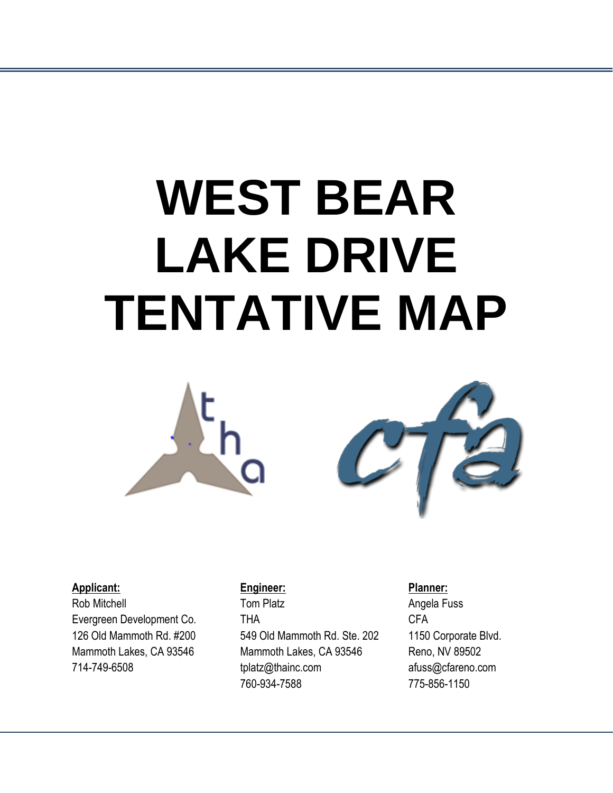# **WEST BEAR LAKE DRIVE TENTATIVE MAP**





#### **Applicant:**

Rob Mitchell Evergreen Development Co. 126 Old Mammoth Rd. #200 Mammoth Lakes, CA 93546 714-749-6508

#### **Engineer:**

Tom Platz THA 549 Old Mammoth Rd. Ste. 202 Mammoth Lakes, CA 93546 tplatz@thainc.com 760-934-7588

**Planner:** Angela Fuss CFA 1150 Corporate Blvd. Reno, NV 89502 [afuss@cfareno.com](mailto:afuss@cfareno.com) 775-856-1150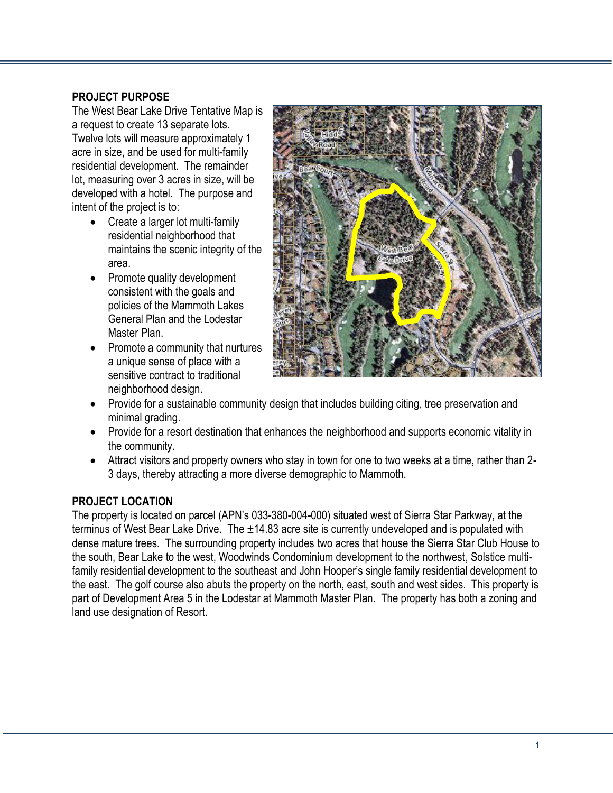#### **PROJECT PURPOSE**

The West Bear Lake Drive Tentative Map is a request to create 13 separate lots. Twelve lots will measure approximately 1 acre in size, and be used for multi-family residential development. The remainder lot, measuring over 3 acres in size, will be developed with a hotel. The purpose and intent of the project is to:

- Create a larger lot multi-family residential neighborhood that maintains the scenic integrity of the area.
- Promote quality development consistent with the goals and policies of the Mammoth Lakes General Plan and the Lodestar Master Plan.
- Promote a community that nurtures a unique sense of place with a sensitive contract to traditional neighborhood design.



- Provide for a sustainable community design that includes building citing, tree preservation and minimal grading.
- Provide for a resort destination that enhances the neighborhood and supports economic vitality in the community.
- Attract visitors and property owners who stay in town for one to two weeks at a time, rather than 2- 3 days, thereby attracting a more diverse demographic to Mammoth.

## **PROJECT LOCATION**

The property is located on parcel (APN's 033-380-004-000) situated west of Sierra Star Parkway, at the terminus of West Bear Lake Drive. The ±14.83 acre site is currently undeveloped and is populated with dense mature trees. The surrounding property includes two acres that house the Sierra Star Club House to the south, Bear Lake to the west, Woodwinds Condominium development to the northwest, Solstice multifamily residential development to the southeast and John Hooper's single family residential development to the east. The golf course also abuts the property on the north, east, south and west sides. This property is part of Development Area 5 in the Lodestar at Mammoth Master Plan. The property has both a zoning and land use designation of Resort.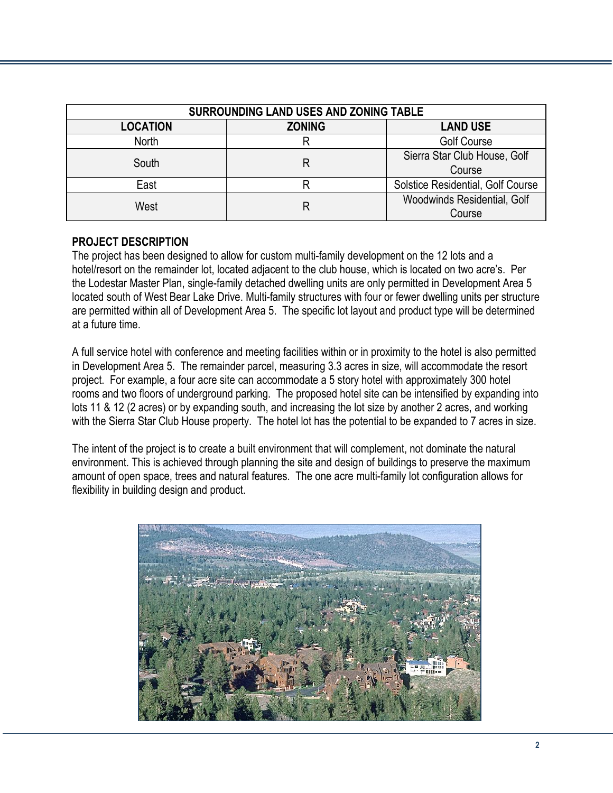| SURROUNDING LAND USES AND ZONING TABLE |               |                                        |  |
|----------------------------------------|---------------|----------------------------------------|--|
| <b>LOCATION</b>                        | <b>ZONING</b> | <b>LAND USE</b>                        |  |
| North                                  |               | <b>Golf Course</b>                     |  |
| South                                  |               | Sierra Star Club House, Golf<br>Course |  |
| East                                   |               | Solstice Residential, Golf Course      |  |
| West                                   |               | Woodwinds Residential, Golf<br>Course  |  |

#### **PROJECT DESCRIPTION**

The project has been designed to allow for custom multi-family development on the 12 lots and a hotel/resort on the remainder lot, located adjacent to the club house, which is located on two acre's. Per the Lodestar Master Plan, single-family detached dwelling units are only permitted in Development Area 5 located south of West Bear Lake Drive. Multi-family structures with four or fewer dwelling units per structure are permitted within all of Development Area 5. The specific lot layout and product type will be determined at a future time.

A full service hotel with conference and meeting facilities within or in proximity to the hotel is also permitted in Development Area 5. The remainder parcel, measuring 3.3 acres in size, will accommodate the resort project. For example, a four acre site can accommodate a 5 story hotel with approximately 300 hotel rooms and two floors of underground parking. The proposed hotel site can be intensified by expanding into lots 11 & 12 (2 acres) or by expanding south, and increasing the lot size by another 2 acres, and working with the Sierra Star Club House property. The hotel lot has the potential to be expanded to 7 acres in size.

The intent of the project is to create a built environment that will complement, not dominate the natural environment. This is achieved through planning the site and design of buildings to preserve the maximum amount of open space, trees and natural features. The one acre multi-family lot configuration allows for flexibility in building design and product.

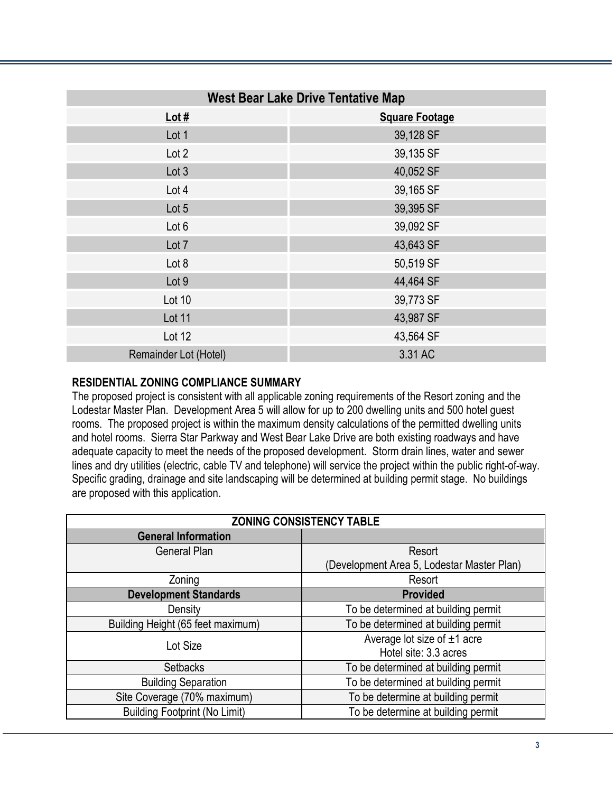| <b>West Bear Lake Drive Tentative Map</b> |                       |  |
|-------------------------------------------|-----------------------|--|
| Lot $#$                                   | <b>Square Footage</b> |  |
| Lot 1                                     | 39,128 SF             |  |
| Lot 2                                     | 39,135 SF             |  |
| Lot 3                                     | 40,052 SF             |  |
| Lot 4                                     | 39,165 SF             |  |
| Lot 5                                     | 39,395 SF             |  |
| Lot 6                                     | 39,092 SF             |  |
| Lot 7                                     | 43,643 SF             |  |
| Lot 8                                     | 50,519 SF             |  |
| Lot 9                                     | 44,464 SF             |  |
| Lot 10                                    | 39,773 SF             |  |
| Lot 11                                    | 43,987 SF             |  |
| Lot 12                                    | 43,564 SF             |  |
| Remainder Lot (Hotel)                     | 3.31 AC               |  |

#### **RESIDENTIAL ZONING COMPLIANCE SUMMARY**

The proposed project is consistent with all applicable zoning requirements of the Resort zoning and the Lodestar Master Plan. Development Area 5 will allow for up to 200 dwelling units and 500 hotel guest rooms. The proposed project is within the maximum density calculations of the permitted dwelling units and hotel rooms. Sierra Star Parkway and West Bear Lake Drive are both existing roadways and have adequate capacity to meet the needs of the proposed development. Storm drain lines, water and sewer lines and dry utilities (electric, cable TV and telephone) will service the project within the public right-of-way. Specific grading, drainage and site landscaping will be determined at building permit stage. No buildings are proposed with this application.

| <b>ZONING CONSISTENCY TABLE</b>      |                                            |  |
|--------------------------------------|--------------------------------------------|--|
| <b>General Information</b>           |                                            |  |
| <b>General Plan</b>                  | Resort                                     |  |
|                                      | (Development Area 5, Lodestar Master Plan) |  |
| Zoning                               | Resort                                     |  |
| <b>Development Standards</b>         | <b>Provided</b>                            |  |
| Density                              | To be determined at building permit        |  |
| Building Height (65 feet maximum)    | To be determined at building permit        |  |
| Lot Size                             | Average lot size of $±1$ acre              |  |
|                                      | Hotel site: 3.3 acres                      |  |
| <b>Setbacks</b>                      | To be determined at building permit        |  |
| <b>Building Separation</b>           | To be determined at building permit        |  |
| Site Coverage (70% maximum)          | To be determine at building permit         |  |
| <b>Building Footprint (No Limit)</b> | To be determine at building permit         |  |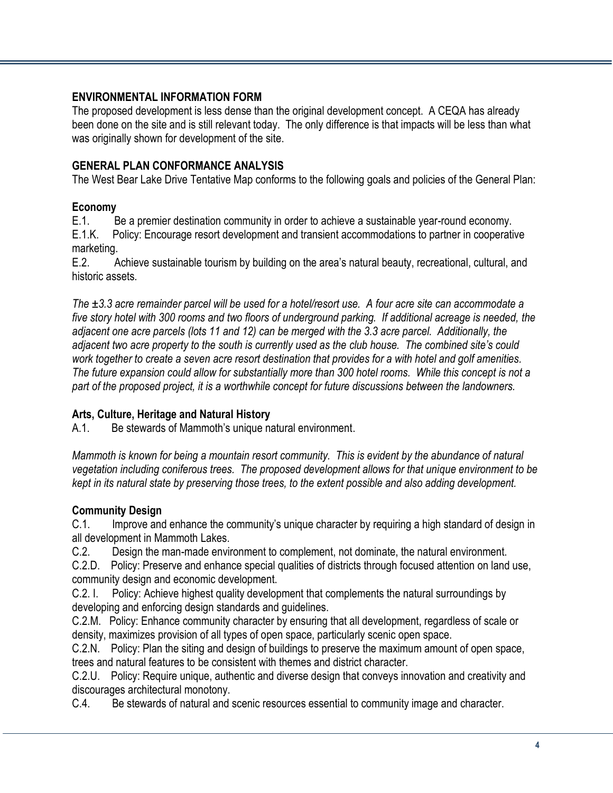## **ENVIRONMENTAL INFORMATION FORM**

The proposed development is less dense than the original development concept. A CEQA has already been done on the site and is still relevant today. The only difference is that impacts will be less than what was originally shown for development of the site.

#### **GENERAL PLAN CONFORMANCE ANALYSIS**

The West Bear Lake Drive Tentative Map conforms to the following goals and policies of the General Plan:

#### **Economy**

E.1. Be a premier destination community in order to achieve a sustainable year-round economy. E.1.K. Policy: Encourage resort development and transient accommodations to partner in cooperative marketing.

E.2. Achieve sustainable tourism by building on the area's natural beauty, recreational, cultural, and historic assets.

*The ±3.3 acre remainder parcel will be used for a hotel/resort use. A four acre site can accommodate a five story hotel with 300 rooms and two floors of underground parking. If additional acreage is needed, the adjacent one acre parcels (lots 11 and 12) can be merged with the 3.3 acre parcel. Additionally, the adjacent two acre property to the south is currently used as the club house. The combined site's could work together to create a seven acre resort destination that provides for a with hotel and golf amenities. The future expansion could allow for substantially more than 300 hotel rooms. While this concept is not a part of the proposed project, it is a worthwhile concept for future discussions between the landowners.* 

#### **Arts, Culture, Heritage and Natural History**

A.1. Be stewards of Mammoth's unique natural environment.

*Mammoth is known for being a mountain resort community. This is evident by the abundance of natural vegetation including coniferous trees. The proposed development allows for that unique environment to be kept in its natural state by preserving those trees, to the extent possible and also adding development.* 

## **Community Design**

C.1. Improve and enhance the community's unique character by requiring a high standard of design in all development in Mammoth Lakes.

C.2. Design the man-made environment to complement, not dominate, the natural environment.

C.2.D. Policy: Preserve and enhance special qualities of districts through focused attention on land use, community design and economic development.

C.2. I. Policy: Achieve highest quality development that complements the natural surroundings by developing and enforcing design standards and guidelines.

C.2.M. Policy: Enhance community character by ensuring that all development, regardless of scale or density, maximizes provision of all types of open space, particularly scenic open space.

C.2.N. Policy: Plan the siting and design of buildings to preserve the maximum amount of open space, trees and natural features to be consistent with themes and district character.

C.2.U. Policy: Require unique, authentic and diverse design that conveys innovation and creativity and discourages architectural monotony.

C.4. Be stewards of natural and scenic resources essential to community image and character.